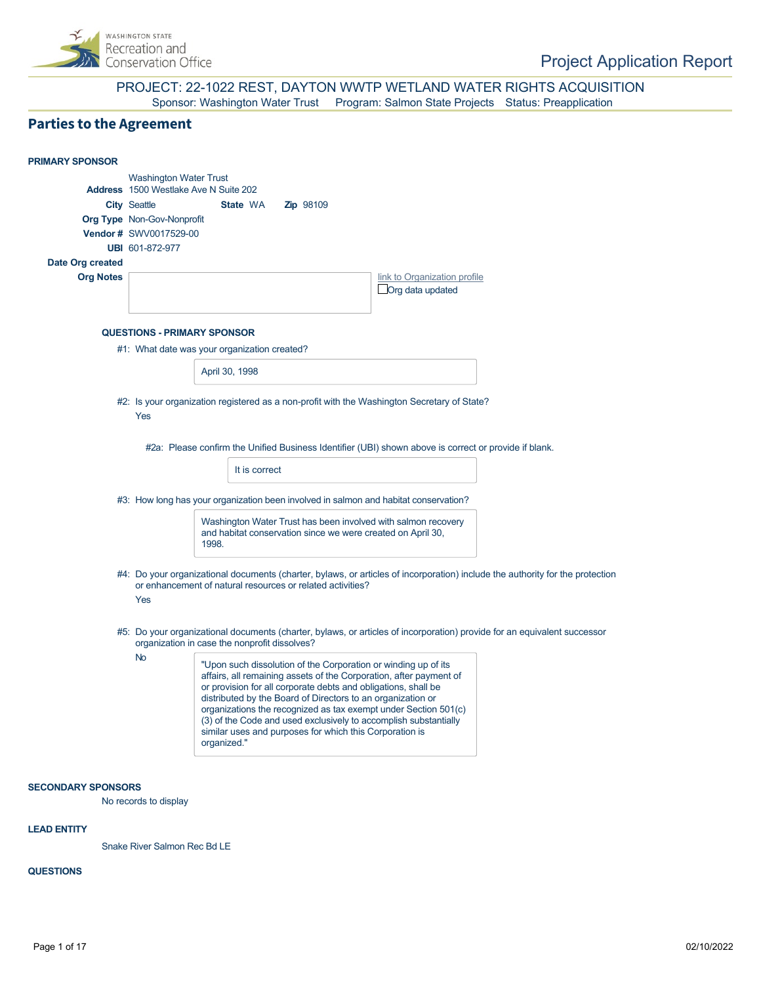

#### PROJECT: 22-1022 REST, DAYTON WWTP WETLAND WATER RIGHTS ACQUISITION Sponsor: Washington Water Trust Program: Salmon State Projects Status: Preapplication

## **Parties to the Agreement**

| <b>PRIMARY SPONSOR</b>               |                                                                                                                                                                                                                                                                                                                                                                                                                                                                                                     |
|--------------------------------------|-----------------------------------------------------------------------------------------------------------------------------------------------------------------------------------------------------------------------------------------------------------------------------------------------------------------------------------------------------------------------------------------------------------------------------------------------------------------------------------------------------|
|                                      | <b>Washington Water Trust</b><br>Address 1500 Westlake Ave N Suite 202<br>State WA<br><b>City Seattle</b><br><b>Zip</b> 98109<br><b>Org Type Non-Gov-Nonprofit</b><br>Vendor # SWV0017529-00                                                                                                                                                                                                                                                                                                        |
|                                      | UBI 601-872-977                                                                                                                                                                                                                                                                                                                                                                                                                                                                                     |
| Date Org created<br><b>Org Notes</b> | link to Organization profile                                                                                                                                                                                                                                                                                                                                                                                                                                                                        |
|                                      | Org data updated                                                                                                                                                                                                                                                                                                                                                                                                                                                                                    |
|                                      | <b>QUESTIONS - PRIMARY SPONSOR</b>                                                                                                                                                                                                                                                                                                                                                                                                                                                                  |
|                                      | #1: What date was your organization created?                                                                                                                                                                                                                                                                                                                                                                                                                                                        |
|                                      | April 30, 1998                                                                                                                                                                                                                                                                                                                                                                                                                                                                                      |
|                                      | #2: Is your organization registered as a non-profit with the Washington Secretary of State?<br>Yes                                                                                                                                                                                                                                                                                                                                                                                                  |
|                                      | #2a: Please confirm the Unified Business Identifier (UBI) shown above is correct or provide if blank.                                                                                                                                                                                                                                                                                                                                                                                               |
|                                      | It is correct                                                                                                                                                                                                                                                                                                                                                                                                                                                                                       |
|                                      |                                                                                                                                                                                                                                                                                                                                                                                                                                                                                                     |
|                                      | #3: How long has your organization been involved in salmon and habitat conservation?                                                                                                                                                                                                                                                                                                                                                                                                                |
|                                      | Washington Water Trust has been involved with salmon recovery<br>and habitat conservation since we were created on April 30,<br>1998.                                                                                                                                                                                                                                                                                                                                                               |
|                                      | #4: Do your organizational documents (charter, bylaws, or articles of incorporation) include the authority for the protection<br>or enhancement of natural resources or related activities?<br>Yes                                                                                                                                                                                                                                                                                                  |
|                                      | #5: Do your organizational documents (charter, bylaws, or articles of incorporation) provide for an equivalent successor<br>organization in case the nonprofit dissolves?                                                                                                                                                                                                                                                                                                                           |
|                                      | <b>No</b><br>"Upon such dissolution of the Corporation or winding up of its<br>affairs, all remaining assets of the Corporation, after payment of<br>or provision for all corporate debts and obligations, shall be<br>distributed by the Board of Directors to an organization or<br>organizations the recognized as tax exempt under Section 501(c)<br>(3) of the Code and used exclusively to accomplish substantially<br>similar uses and purposes for which this Corporation is<br>organized." |
| <b>SECONDARY SPONSORS</b>            |                                                                                                                                                                                                                                                                                                                                                                                                                                                                                                     |

No records to display

#### **LEAD ENTITY**

Snake River Salmon Rec Bd LE

#### **QUESTIONS**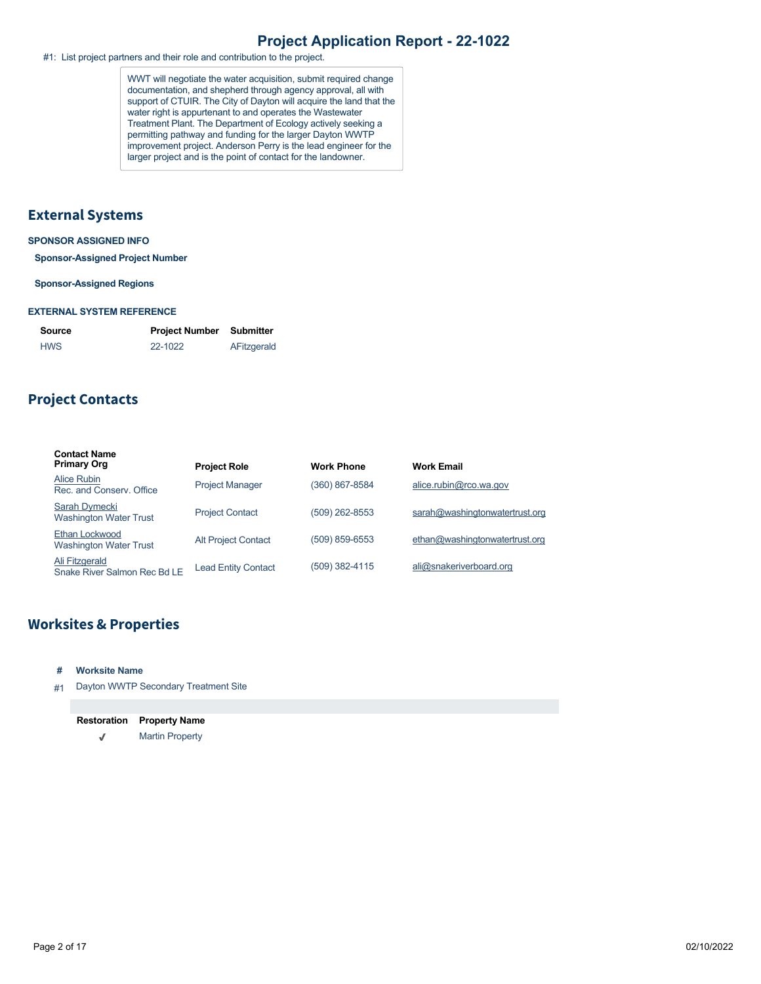#1: List project partners and their role and contribution to the project.

WWT will negotiate the water acquisition, submit required change documentation, and shepherd through agency approval, all with support of CTUIR. The City of Dayton will acquire the land that the water right is appurtenant to and operates the Wastewater Treatment Plant. The Department of Ecology actively seeking a permitting pathway and funding for the larger Dayton WWTP improvement project. Anderson Perry is the lead engineer for the larger project and is the point of contact for the landowner.

#### **External Systems**

#### **SPONSOR ASSIGNED INFO**

**Sponsor-Assigned Project Number**

#### **Sponsor-Assigned Regions**

#### **EXTERNAL SYSTEM REFERENCE**

| Source     | <b>Project Number</b> | Submitter   |
|------------|-----------------------|-------------|
| <b>HWS</b> | 22-1022               | AFitzgerald |

## **Project Contacts**

| <b>Contact Name</b><br><b>Primary Org</b>       | <b>Project Role</b>        | <b>Work Phone</b> | <b>Work Email</b>              |
|-------------------------------------------------|----------------------------|-------------------|--------------------------------|
| Alice Rubin<br>Rec. and Conserv. Office         | <b>Project Manager</b>     | (360) 867-8584    | alice.rubin@rco.wa.gov         |
| Sarah Dymecki<br><b>Washington Water Trust</b>  | <b>Project Contact</b>     | (509) 262-8553    | sarah@washingtonwatertrust.org |
| Ethan Lockwood<br><b>Washington Water Trust</b> | <b>Alt Project Contact</b> | (509) 859-6553    | ethan@washingtonwatertrust.org |
| Ali Fitzgerald<br>Snake River Salmon Rec Bd LE  | <b>Lead Entity Contact</b> | (509) 382-4115    | ali@snakeriverboard.org        |

## **Worksites & Properties**

- **# Worksite Name**
- #1 Dayton WWTP Secondary Treatment Site

| <b>Restoration</b> | <b>Property Name</b>   |
|--------------------|------------------------|
| J                  | <b>Martin Property</b> |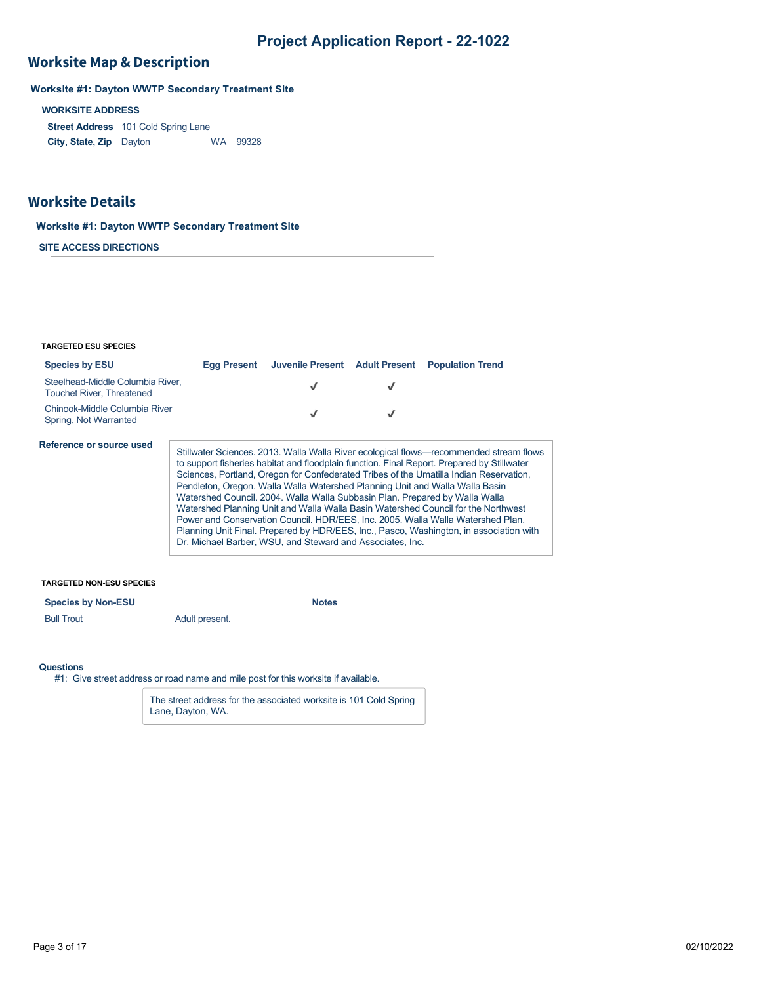## **Worksite Map & Description**

**Worksite #1: Dayton WWTP Secondary Treatment Site**

#### **WORKSITE ADDRESS**

**Street Address** 101 Cold Spring Lane **City, State, Zip** WA 99328

#### **Worksite Details**

#### **Worksite #1: Dayton WWTP Secondary Treatment Site**

**SITE ACCESS DIRECTIONS**

**TARGETED ESU SPECIES**

| <b>Species by ESU</b>                                                | Egg Present | Juvenile Present Adult Present                                                                                                           | <b>Population Trend</b>                                                                                                                                                                                                                                                                                                                                                                                                                                                                                                                                                                                                          |
|----------------------------------------------------------------------|-------------|------------------------------------------------------------------------------------------------------------------------------------------|----------------------------------------------------------------------------------------------------------------------------------------------------------------------------------------------------------------------------------------------------------------------------------------------------------------------------------------------------------------------------------------------------------------------------------------------------------------------------------------------------------------------------------------------------------------------------------------------------------------------------------|
| Steelhead-Middle Columbia River.<br><b>Touchet River, Threatened</b> |             | √                                                                                                                                        |                                                                                                                                                                                                                                                                                                                                                                                                                                                                                                                                                                                                                                  |
| Chinook-Middle Columbia River<br>Spring, Not Warranted               |             | J                                                                                                                                        |                                                                                                                                                                                                                                                                                                                                                                                                                                                                                                                                                                                                                                  |
| Reference or source used                                             |             | Watershed Council. 2004. Walla Walla Subbasin Plan. Prepared by Walla Walla<br>Dr. Michael Barber, WSU, and Steward and Associates, Inc. | Stillwater Sciences. 2013. Walla Walla River ecological flows—recommended stream flows<br>to support fisheries habitat and floodplain function. Final Report. Prepared by Stillwater<br>Sciences, Portland, Oregon for Confederated Tribes of the Umatilla Indian Reservation,<br>Pendleton, Oregon. Walla Walla Watershed Planning Unit and Walla Walla Basin<br>Watershed Planning Unit and Walla Walla Basin Watershed Council for the Northwest<br>Power and Conservation Council. HDR/EES, Inc. 2005. Walla Walla Watershed Plan.<br>Planning Unit Final. Prepared by HDR/EES, Inc., Pasco, Washington, in association with |

#### **TARGETED NON-ESU SPECIES**

**Species by Non-ESU Notes** 

Bull Trout **Adult present.** 

#### **Questions**

#1: Give street address or road name and mile post for this worksite if available.

The street address for the associated worksite is 101 Cold Spring Lane, Dayton, WA.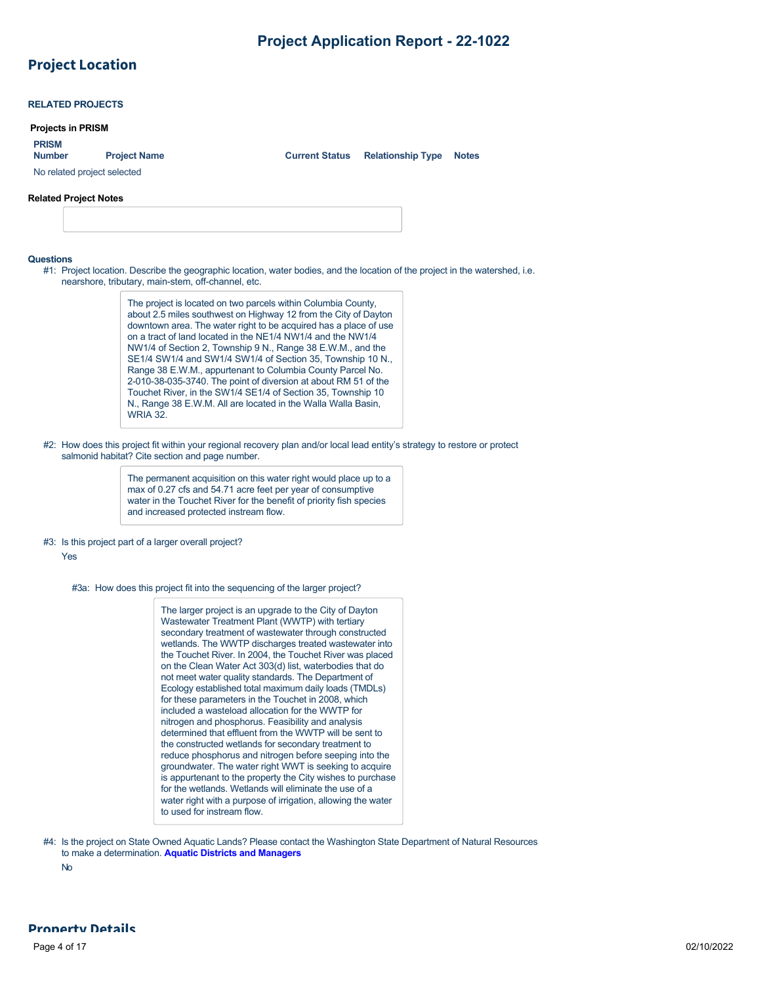## **Project Location**

| <b>Projects in PRISM</b>      |                             |                       |                          |              |
|-------------------------------|-----------------------------|-----------------------|--------------------------|--------------|
| <b>PRISM</b><br><b>Number</b> | <b>Project Name</b>         | <b>Current Status</b> | <b>Relationship Type</b> | <b>Notes</b> |
|                               | No related project selected |                       |                          |              |

#### **Questions**

#1: Project location. Describe the geographic location, water bodies, and the location of the project in the watershed, i.e. nearshore, tributary, main-stem, off-channel, etc.

> The project is located on two parcels within Columbia County, about 2.5 miles southwest on Highway 12 from the City of Dayton downtown area. The water right to be acquired has a place of use on a tract of land located in the NE1/4 NW1/4 and the NW1/4 NW1/4 of Section 2, Township 9 N., Range 38 E.W.M., and the SE1/4 SW1/4 and SW1/4 SW1/4 of Section 35, Township 10 N., Range 38 E.W.M., appurtenant to Columbia County Parcel No. 2-010-38-035-3740. The point of diversion at about RM 51 of the Touchet River, in the SW1/4 SE1/4 of Section 35, Township 10 N., Range 38 E.W.M. All are located in the Walla Walla Basin, WRIA 32.

#2: How does this project fit within your regional recovery plan and/or local lead entity's strategy to restore or protect salmonid habitat? Cite section and page number.

> The permanent acquisition on this water right would place up to a max of 0.27 cfs and 54.71 acre feet per year of consumptive water in the Touchet River for the benefit of priority fish species and increased protected instream flow.

#### #3: Is this project part of a larger overall project?

Yes

#3a: How does this project fit into the sequencing of the larger project?

The larger project is an upgrade to the City of Dayton Wastewater Treatment Plant (WWTP) with tertiary secondary treatment of wastewater through constructed wetlands. The WWTP discharges treated wastewater into the Touchet River. In 2004, the Touchet River was placed on the Clean Water Act 303(d) list, waterbodies that do not meet water quality standards. The Department of Ecology established total maximum daily loads (TMDLs) for these parameters in the Touchet in 2008, which included a wasteload allocation for the WWTP for nitrogen and phosphorus. Feasibility and analysis determined that effluent from the WWTP will be sent to the constructed wetlands for secondary treatment to reduce phosphorus and nitrogen before seeping into the groundwater. The water right WWT is seeking to acquire is appurtenant to the property the City wishes to purchase for the wetlands. Wetlands will eliminate the use of a water right with a purpose of irrigation, allowing the water to used for instream flow.

#4: Is the project on State Owned Aquatic Lands? Please contact the Washington State Department of Natural Resources to make a determination. **[Aquatic Districts and Managers](https://www.dnr.wa.gov/programs-and-services/aquatics/aquatic-districts-and-land-managers-map)**

No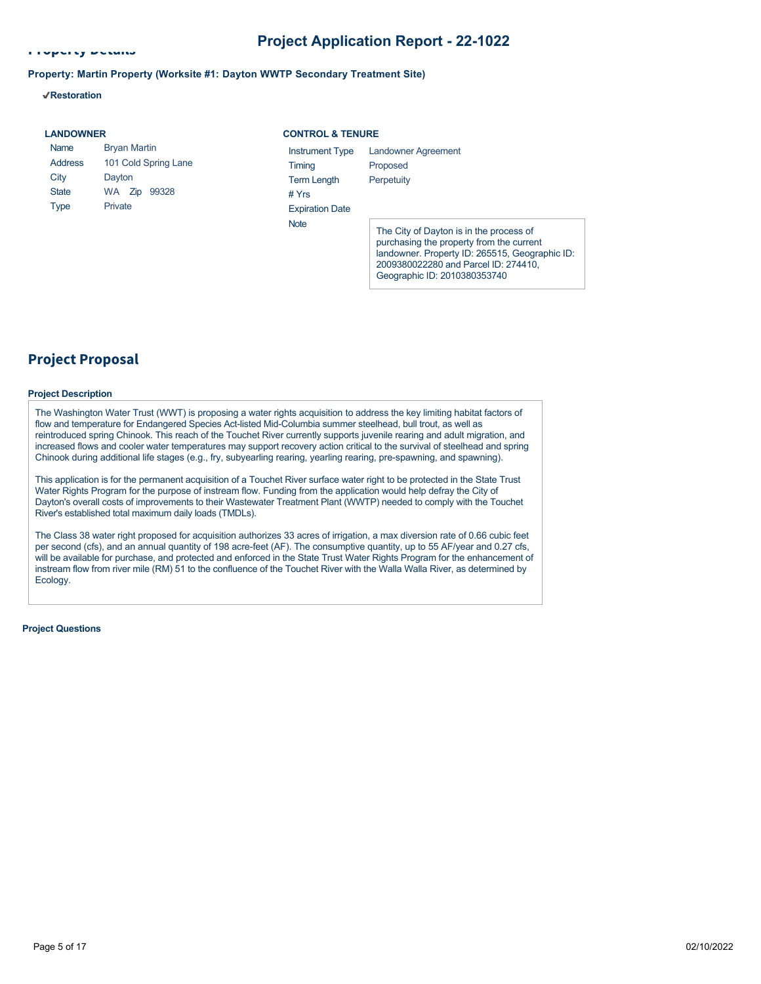2009380022280 and Parcel ID: 274410, Geographic ID: 2010380353740

**Property Details**

#### **Property: Martin Property (Worksite #1: Dayton WWTP Secondary Treatment Site)**

**Restoration**

| <b>LANDOWNER</b> |                      | <b>CONTROL &amp; TENURE</b> |                                                                                                                                       |
|------------------|----------------------|-----------------------------|---------------------------------------------------------------------------------------------------------------------------------------|
| Name             | <b>Bryan Martin</b>  | Instrument Type             | Landowner Agreement                                                                                                                   |
| <b>Address</b>   | 101 Cold Spring Lane | Timing                      | Proposed                                                                                                                              |
| City             | Dayton               | <b>Term Length</b>          | Perpetuity                                                                                                                            |
| <b>State</b>     | 99328<br>WA.<br>Zip  | # $Yrs$                     |                                                                                                                                       |
| Type             | Private              | <b>Expiration Date</b>      |                                                                                                                                       |
|                  |                      | <b>Note</b>                 | The City of Dayton is in the process of<br>purchasing the property from the current<br>landowner. Property ID: 265515, Geographic ID: |

### **Project Proposal**

#### **Project Description**

The Washington Water Trust (WWT) is proposing a water rights acquisition to address the key limiting habitat factors of flow and temperature for Endangered Species Act-listed Mid-Columbia summer steelhead, bull trout, as well as reintroduced spring Chinook. This reach of the Touchet River currently supports juvenile rearing and adult migration, and increased flows and cooler water temperatures may support recovery action critical to the survival of steelhead and spring Chinook during additional life stages (e.g., fry, subyearling rearing, yearling rearing, pre-spawning, and spawning).

This application is for the permanent acquisition of a Touchet River surface water right to be protected in the State Trust Water Rights Program for the purpose of instream flow. Funding from the application would help defray the City of Dayton's overall costs of improvements to their Wastewater Treatment Plant (WWTP) needed to comply with the Touchet River's established total maximum daily loads (TMDLs).

The Class 38 water right proposed for acquisition authorizes 33 acres of irrigation, a max diversion rate of 0.66 cubic feet per second (cfs), and an annual quantity of 198 acre-feet (AF). The consumptive quantity, up to 55 AF/year and 0.27 cfs, will be available for purchase, and protected and enforced in the State Trust Water Rights Program for the enhancement of instream flow from river mile (RM) 51 to the confluence of the Touchet River with the Walla Walla River, as determined by Ecology.

**Project Questions**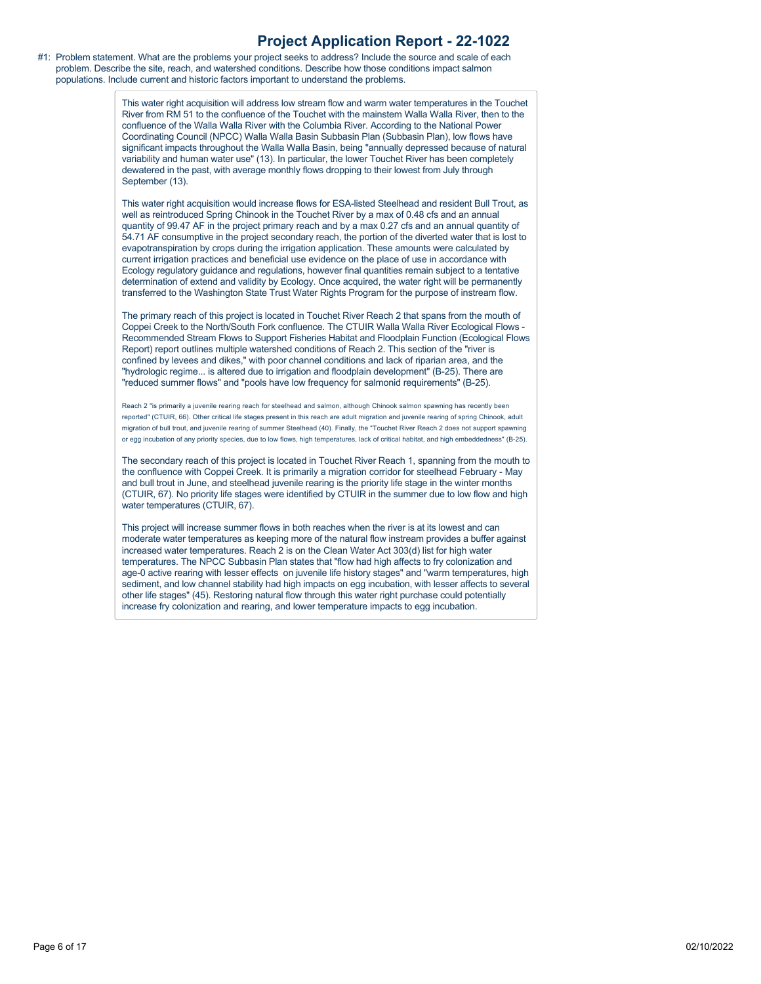#1: Problem statement. What are the problems your project seeks to address? Include the source and scale of each problem. Describe the site, reach, and watershed conditions. Describe how those conditions impact salmon populations. Include current and historic factors important to understand the problems.

> This water right acquisition will address low stream flow and warm water temperatures in the Touchet River from RM 51 to the confluence of the Touchet with the mainstem Walla Walla River, then to the confluence of the Walla Walla River with the Columbia River. According to the National Power Coordinating Council (NPCC) Walla Walla Basin Subbasin Plan (Subbasin Plan), low flows have significant impacts throughout the Walla Walla Basin, being "annually depressed because of natural variability and human water use" (13). In particular, the lower Touchet River has been completely dewatered in the past, with average monthly flows dropping to their lowest from July through September (13).

> This water right acquisition would increase flows for ESA-listed Steelhead and resident Bull Trout, as well as reintroduced Spring Chinook in the Touchet River by a max of 0.48 cfs and an annual quantity of 99.47 AF in the project primary reach and by a max 0.27 cfs and an annual quantity of 54.71 AF consumptive in the project secondary reach, the portion of the diverted water that is lost to evapotranspiration by crops during the irrigation application. These amounts were calculated by current irrigation practices and beneficial use evidence on the place of use in accordance with Ecology regulatory guidance and regulations, however final quantities remain subject to a tentative determination of extend and validity by Ecology. Once acquired, the water right will be permanently transferred to the Washington State Trust Water Rights Program for the purpose of instream flow.

> The primary reach of this project is located in Touchet River Reach 2 that spans from the mouth of Coppei Creek to the North/South Fork confluence. The CTUIR Walla Walla River Ecological Flows - Recommended Stream Flows to Support Fisheries Habitat and Floodplain Function (Ecological Flows Report) report outlines multiple watershed conditions of Reach 2. This section of the "river is confined by levees and dikes," with poor channel conditions and lack of riparian area, and the "hydrologic regime... is altered due to irrigation and floodplain development" (B-25). There are "reduced summer flows" and "pools have low frequency for salmonid requirements" (B-25).

> Reach 2 "is primarily a juvenile rearing reach for steelhead and salmon, although Chinook salmon spawning has recently been reported" (CTUIR, 66). Other critical life stages present in this reach are adult migration and juvenile rearing of spring Chinook, adult migration of bull trout, and juvenile rearing of summer Steelhead (40). Finally, the "Touchet River Reach 2 does not support spawning or egg incubation of any priority species, due to low flows, high temperatures, lack of critical habitat, and high embeddedness" (B-25).

> The secondary reach of this project is located in Touchet River Reach 1, spanning from the mouth to the confluence with Coppei Creek. It is primarily a migration corridor for steelhead February - May and bull trout in June, and steelhead juvenile rearing is the priority life stage in the winter months (CTUIR, 67). No priority life stages were identified by CTUIR in the summer due to low flow and high water temperatures (CTUIR, 67).

> This project will increase summer flows in both reaches when the river is at its lowest and can moderate water temperatures as keeping more of the natural flow instream provides a buffer against increased water temperatures. Reach 2 is on the Clean Water Act 303(d) list for high water temperatures. The NPCC Subbasin Plan states that "flow had high affects to fry colonization and age-0 active rearing with lesser effects on juvenile life history stages" and "warm temperatures, high sediment, and low channel stability had high impacts on egg incubation, with lesser affects to several other life stages" (45). Restoring natural flow through this water right purchase could potentially increase fry colonization and rearing, and lower temperature impacts to egg incubation.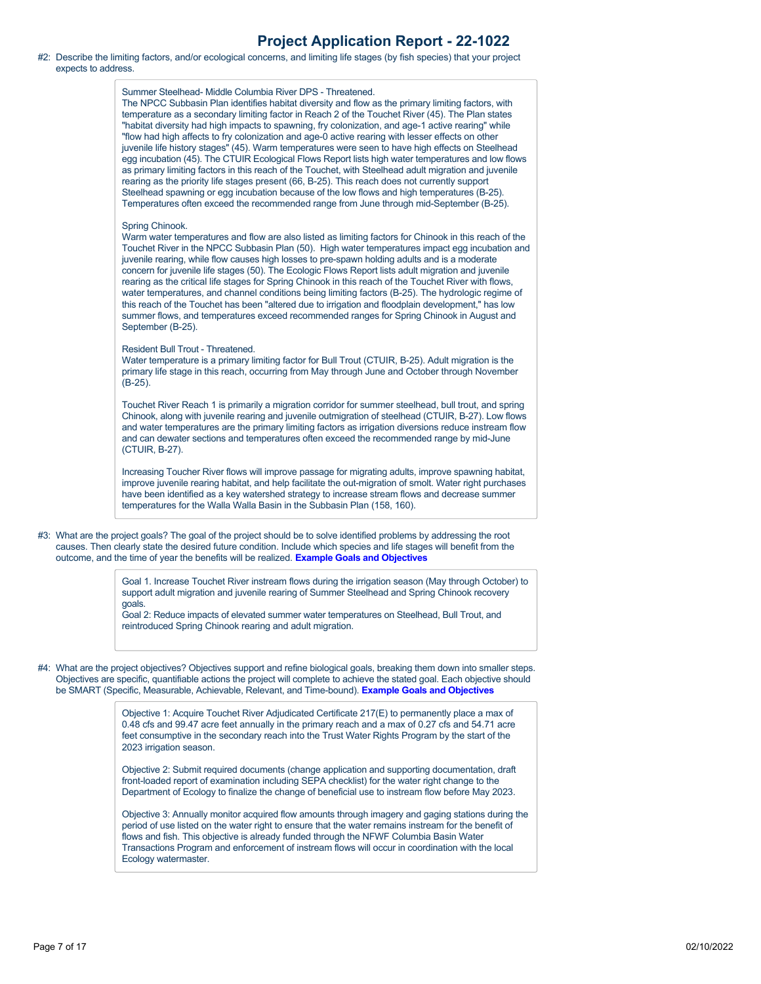#2: Describe the limiting factors, and/or ecological concerns, and limiting life stages (by fish species) that your project expects to address.

> Summer Steelhead- Middle Columbia River DPS - Threatened. The NPCC Subbasin Plan identifies habitat diversity and flow as the primary limiting factors, with temperature as a secondary limiting factor in Reach 2 of the Touchet River (45). The Plan states "habitat diversity had high impacts to spawning, fry colonization, and age-1 active rearing" while "flow had high affects to fry colonization and age-0 active rearing with lesser effects on other juvenile life history stages" (45). Warm temperatures were seen to have high effects on Steelhead egg incubation (45). The CTUIR Ecological Flows Report lists high water temperatures and low flows as primary limiting factors in this reach of the Touchet, with Steelhead adult migration and juvenile rearing as the priority life stages present (66, B-25). This reach does not currently support Steelhead spawning or egg incubation because of the low flows and high temperatures (B-25). Temperatures often exceed the recommended range from June through mid-September (B-25). Spring Chinook. Warm water temperatures and flow are also listed as limiting factors for Chinook in this reach of the Touchet River in the NPCC Subbasin Plan (50). High water temperatures impact egg incubation and juvenile rearing, while flow causes high losses to pre-spawn holding adults and is a moderate concern for juvenile life stages (50). The Ecologic Flows Report lists adult migration and juvenile rearing as the critical life stages for Spring Chinook in this reach of the Touchet River with flows, water temperatures, and channel conditions being limiting factors (B-25). The hydrologic regime of this reach of the Touchet has been "altered due to irrigation and floodplain development," has low summer flows, and temperatures exceed recommended ranges for Spring Chinook in August and September (B-25).

Resident Bull Trout - Threatened.

Water temperature is a primary limiting factor for Bull Trout (CTUIR, B-25). Adult migration is the primary life stage in this reach, occurring from May through June and October through November (B-25).

Touchet River Reach 1 is primarily a migration corridor for summer steelhead, bull trout, and spring Chinook, along with juvenile rearing and juvenile outmigration of steelhead (CTUIR, B-27). Low flows and water temperatures are the primary limiting factors as irrigation diversions reduce instream flow and can dewater sections and temperatures often exceed the recommended range by mid-June (CTUIR, B-27).

Increasing Toucher River flows will improve passage for migrating adults, improve spawning habitat, improve juvenile rearing habitat, and help facilitate the out-migration of smolt. Water right purchases have been identified as a key watershed strategy to increase stream flows and decrease summer temperatures for the Walla Walla Basin in the Subbasin Plan (158, 160).

#3: What are the project goals? The goal of the project should be to solve identified problems by addressing the root causes. Then clearly state the desired future condition. Include which species and life stages will benefit from the outcome, and the time of year the benefits will be realized. **[Example Goals and Objectives](https://rco.wa.gov/wp-content/uploads/2020/02/SRFB-Goals-and-Objectives-Examples.docx)**

> Goal 1. Increase Touchet River instream flows during the irrigation season (May through October) to support adult migration and juvenile rearing of Summer Steelhead and Spring Chinook recovery goals.

Goal 2: Reduce impacts of elevated summer water temperatures on Steelhead, Bull Trout, and reintroduced Spring Chinook rearing and adult migration.

#4: What are the project objectives? Objectives support and refine biological goals, breaking them down into smaller steps. Objectives are specific, quantifiable actions the project will complete to achieve the stated goal. Each objective should be SMART (Specific, Measurable, Achievable, Relevant, and Time-bound). **[Example Goals and Objectives](https://rco.wa.gov/wp-content/uploads/2020/02/SRFB-Goals-and-Objectives-Examples.docx)**

> Objective 1: Acquire Touchet River Adjudicated Certificate 217(E) to permanently place a max of 0.48 cfs and 99.47 acre feet annually in the primary reach and a max of 0.27 cfs and 54.71 acre feet consumptive in the secondary reach into the Trust Water Rights Program by the start of the 2023 irrigation season.

> Objective 2: Submit required documents (change application and supporting documentation, draft front-loaded report of examination including SEPA checklist) for the water right change to the Department of Ecology to finalize the change of beneficial use to instream flow before May 2023.

Objective 3: Annually monitor acquired flow amounts through imagery and gaging stations during the period of use listed on the water right to ensure that the water remains instream for the benefit of flows and fish. This objective is already funded through the NFWF Columbia Basin Water Transactions Program and enforcement of instream flows will occur in coordination with the local Ecology watermaster.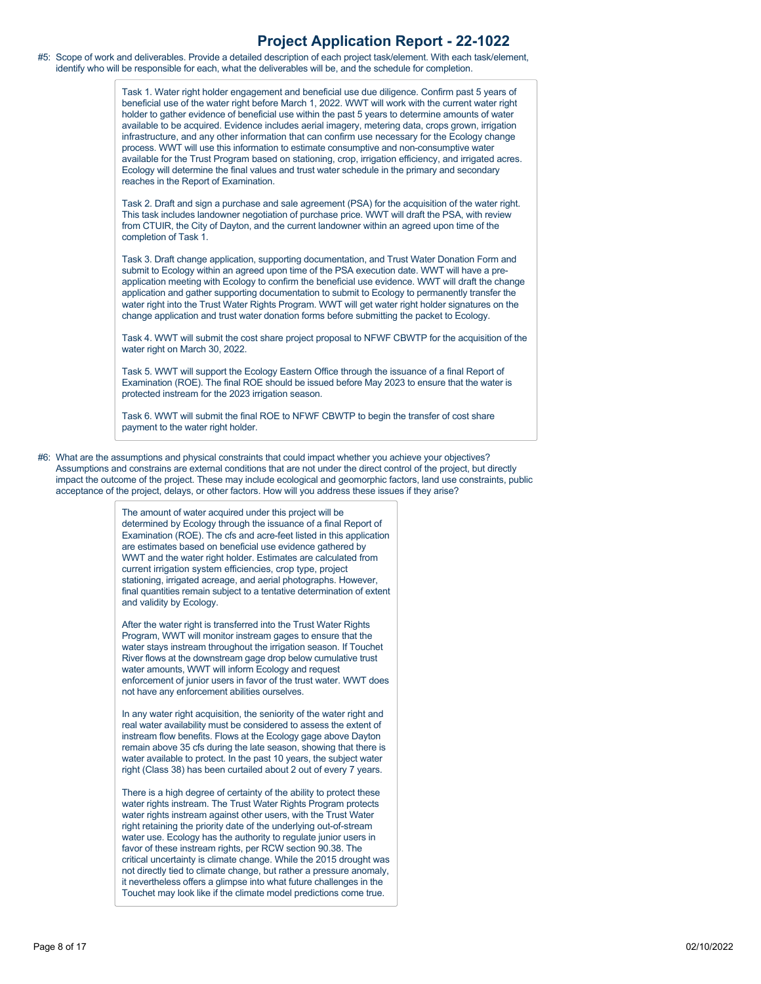#5: Scope of work and deliverables. Provide a detailed description of each project task/element. With each task/element, identify who will be responsible for each, what the deliverables will be, and the schedule for completion.

> Task 1. Water right holder engagement and beneficial use due diligence. Confirm past 5 years of beneficial use of the water right before March 1, 2022. WWT will work with the current water right holder to gather evidence of beneficial use within the past 5 years to determine amounts of water available to be acquired. Evidence includes aerial imagery, metering data, crops grown, irrigation infrastructure, and any other information that can confirm use necessary for the Ecology change process. WWT will use this information to estimate consumptive and non-consumptive water available for the Trust Program based on stationing, crop, irrigation efficiency, and irrigated acres. Ecology will determine the final values and trust water schedule in the primary and secondary reaches in the Report of Examination.

> Task 2. Draft and sign a purchase and sale agreement (PSA) for the acquisition of the water right. This task includes landowner negotiation of purchase price. WWT will draft the PSA, with review from CTUIR, the City of Dayton, and the current landowner within an agreed upon time of the completion of Task 1.

Task 3. Draft change application, supporting documentation, and Trust Water Donation Form and submit to Ecology within an agreed upon time of the PSA execution date. WWT will have a preapplication meeting with Ecology to confirm the beneficial use evidence. WWT will draft the change application and gather supporting documentation to submit to Ecology to permanently transfer the water right into the Trust Water Rights Program. WWT will get water right holder signatures on the change application and trust water donation forms before submitting the packet to Ecology.

Task 4. WWT will submit the cost share project proposal to NFWF CBWTP for the acquisition of the water right on March 30, 2022.

Task 5. WWT will support the Ecology Eastern Office through the issuance of a final Report of Examination (ROE). The final ROE should be issued before May 2023 to ensure that the water is protected instream for the 2023 irrigation season.

Task 6. WWT will submit the final ROE to NFWF CBWTP to begin the transfer of cost share payment to the water right holder.

#6: What are the assumptions and physical constraints that could impact whether you achieve your objectives? Assumptions and constrains are external conditions that are not under the direct control of the project, but directly impact the outcome of the project. These may include ecological and geomorphic factors, land use constraints, public acceptance of the project, delays, or other factors. How will you address these issues if they arise?

> The amount of water acquired under this project will be determined by Ecology through the issuance of a final Report of Examination (ROE). The cfs and acre-feet listed in this application are estimates based on beneficial use evidence gathered by WWT and the water right holder. Estimates are calculated from current irrigation system efficiencies, crop type, project stationing, irrigated acreage, and aerial photographs. However, final quantities remain subject to a tentative determination of extent and validity by Ecology.

> After the water right is transferred into the Trust Water Rights Program, WWT will monitor instream gages to ensure that the water stays instream throughout the irrigation season. If Touchet River flows at the downstream gage drop below cumulative trust water amounts, WWT will inform Ecology and request enforcement of junior users in favor of the trust water. WWT does not have any enforcement abilities ourselves.

In any water right acquisition, the seniority of the water right and real water availability must be considered to assess the extent of instream flow benefits. Flows at the Ecology gage above Dayton remain above 35 cfs during the late season, showing that there is water available to protect. In the past 10 years, the subject water right (Class 38) has been curtailed about 2 out of every 7 years.

There is a high degree of certainty of the ability to protect these water rights instream. The Trust Water Rights Program protects water rights instream against other users, with the Trust Water right retaining the priority date of the underlying out-of-stream water use. Ecology has the authority to regulate junior users in favor of these instream rights, per RCW section 90.38. The critical uncertainty is climate change. While the 2015 drought was not directly tied to climate change, but rather a pressure anomaly, it nevertheless offers a glimpse into what future challenges in the Touchet may look like if the climate model predictions come true.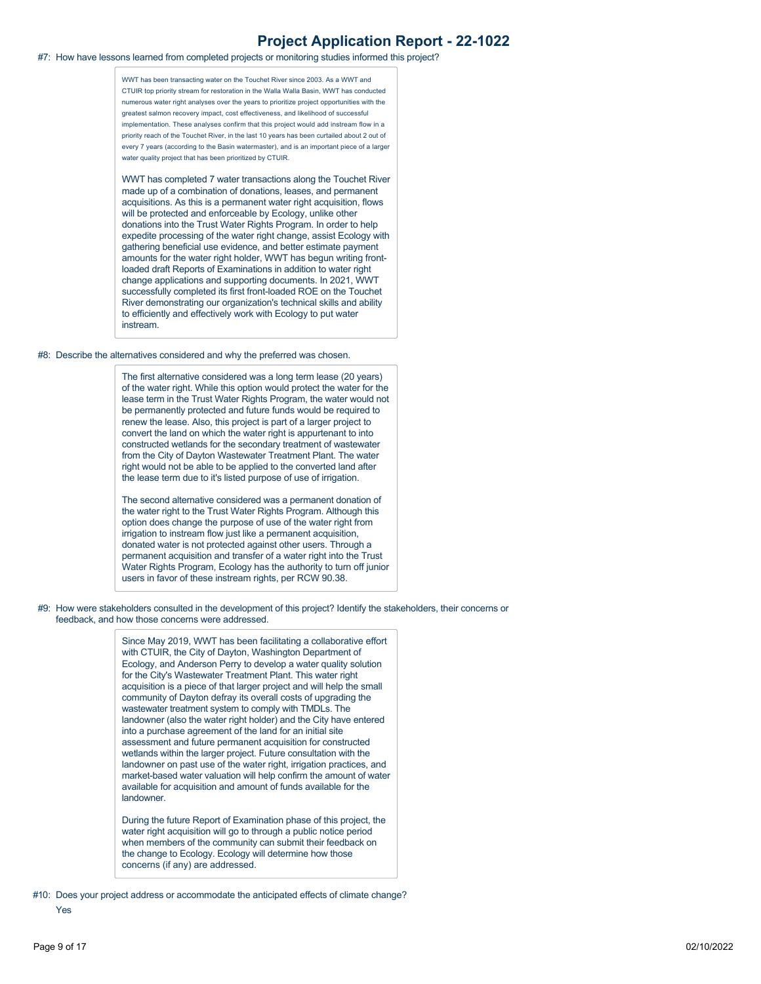#### #7: How have lessons learned from completed projects or monitoring studies informed this project?

WWT has been transacting water on the Touchet River since 2003. As a WWT and CTUIR top priority stream for restoration in the Walla Walla Basin, WWT has conducted numerous water right analyses over the years to prioritize project opportunities with the greatest salmon recovery impact, cost effectiveness, and likelihood of successful implementation. These analyses confirm that this project would add instream flow in a priority reach of the Touchet River, in the last 10 years has been curtailed about 2 out of every 7 years (according to the Basin watermaster), and is an important piece of a larger water quality project that has been prioritized by CTUIR.

WWT has completed 7 water transactions along the Touchet River made up of a combination of donations, leases, and permanent acquisitions. As this is a permanent water right acquisition, flows will be protected and enforceable by Ecology, unlike other donations into the Trust Water Rights Program. In order to help expedite processing of the water right change, assist Ecology with gathering beneficial use evidence, and better estimate payment amounts for the water right holder, WWT has begun writing frontloaded draft Reports of Examinations in addition to water right change applications and supporting documents. In 2021, WWT successfully completed its first front-loaded ROE on the Touchet River demonstrating our organization's technical skills and ability to efficiently and effectively work with Ecology to put water instream.

#8: Describe the alternatives considered and why the preferred was chosen.

The first alternative considered was a long term lease (20 years) of the water right. While this option would protect the water for the lease term in the Trust Water Rights Program, the water would not be permanently protected and future funds would be required to renew the lease. Also, this project is part of a larger project to convert the land on which the water right is appurtenant to into constructed wetlands for the secondary treatment of wastewater from the City of Dayton Wastewater Treatment Plant. The water right would not be able to be applied to the converted land after the lease term due to it's listed purpose of use of irrigation.

The second alternative considered was a permanent donation of the water right to the Trust Water Rights Program. Although this option does change the purpose of use of the water right from irrigation to instream flow just like a permanent acquisition, donated water is not protected against other users. Through a permanent acquisition and transfer of a water right into the Trust Water Rights Program, Ecology has the authority to turn off junior users in favor of these instream rights, per RCW 90.38.

#9: How were stakeholders consulted in the development of this project? Identify the stakeholders, their concerns or feedback, and how those concerns were addressed.

> Since May 2019, WWT has been facilitating a collaborative effort with CTUIR, the City of Dayton, Washington Department of Ecology, and Anderson Perry to develop a water quality solution for the City's Wastewater Treatment Plant. This water right acquisition is a piece of that larger project and will help the small community of Dayton defray its overall costs of upgrading the wastewater treatment system to comply with TMDLs. The landowner (also the water right holder) and the City have entered into a purchase agreement of the land for an initial site assessment and future permanent acquisition for constructed wetlands within the larger project. Future consultation with the landowner on past use of the water right, irrigation practices, and market-based water valuation will help confirm the amount of water available for acquisition and amount of funds available for the landowner.

During the future Report of Examination phase of this project, the water right acquisition will go to through a public notice period when members of the community can submit their feedback on the change to Ecology. Ecology will determine how those concerns (if any) are addressed.

#10: Does your project address or accommodate the anticipated effects of climate change?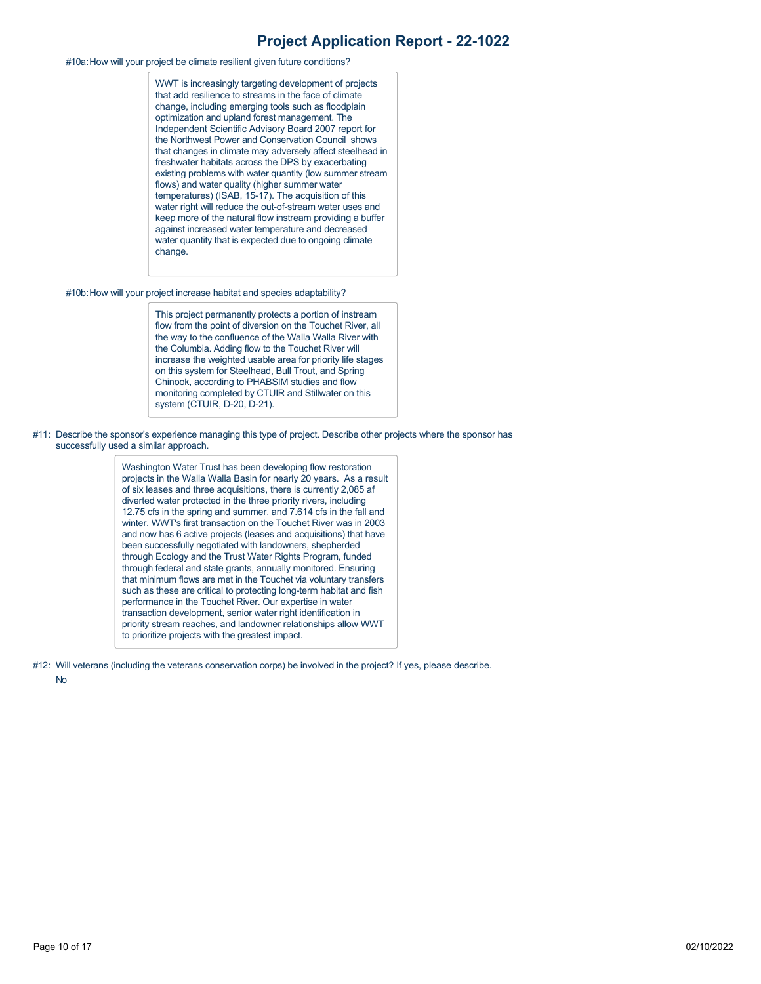#### #10a:How will your project be climate resilient given future conditions?

WWT is increasingly targeting development of projects that add resilience to streams in the face of climate change, including emerging tools such as floodplain optimization and upland forest management. The Independent Scientific Advisory Board 2007 report for the Northwest Power and Conservation Council shows that changes in climate may adversely affect steelhead in freshwater habitats across the DPS by exacerbating existing problems with water quantity (low summer stream flows) and water quality (higher summer water temperatures) (ISAB, 15-17). The acquisition of this water right will reduce the out-of-stream water uses and keep more of the natural flow instream providing a buffer against increased water temperature and decreased water quantity that is expected due to ongoing climate change.

#10b:How will your project increase habitat and species adaptability?

This project permanently protects a portion of instream flow from the point of diversion on the Touchet River, all the way to the confluence of the Walla Walla River with the Columbia. Adding flow to the Touchet River will increase the weighted usable area for priority life stages on this system for Steelhead, Bull Trout, and Spring Chinook, according to PHABSIM studies and flow monitoring completed by CTUIR and Stillwater on this system (CTUIR, D-20, D-21).

#11: Describe the sponsor's experience managing this type of project. Describe other projects where the sponsor has successfully used a similar approach.

> Washington Water Trust has been developing flow restoration projects in the Walla Walla Basin for nearly 20 years. As a result of six leases and three acquisitions, there is currently 2,085 af diverted water protected in the three priority rivers, including 12.75 cfs in the spring and summer, and 7.614 cfs in the fall and winter. WWT's first transaction on the Touchet River was in 2003 and now has 6 active projects (leases and acquisitions) that have been successfully negotiated with landowners, shepherded through Ecology and the Trust Water Rights Program, funded through federal and state grants, annually monitored. Ensuring that minimum flows are met in the Touchet via voluntary transfers such as these are critical to protecting long-term habitat and fish performance in the Touchet River. Our expertise in water transaction development, senior water right identification in priority stream reaches, and landowner relationships allow WWT to prioritize projects with the greatest impact.

#12: Will veterans (including the veterans conservation corps) be involved in the project? If yes, please describe.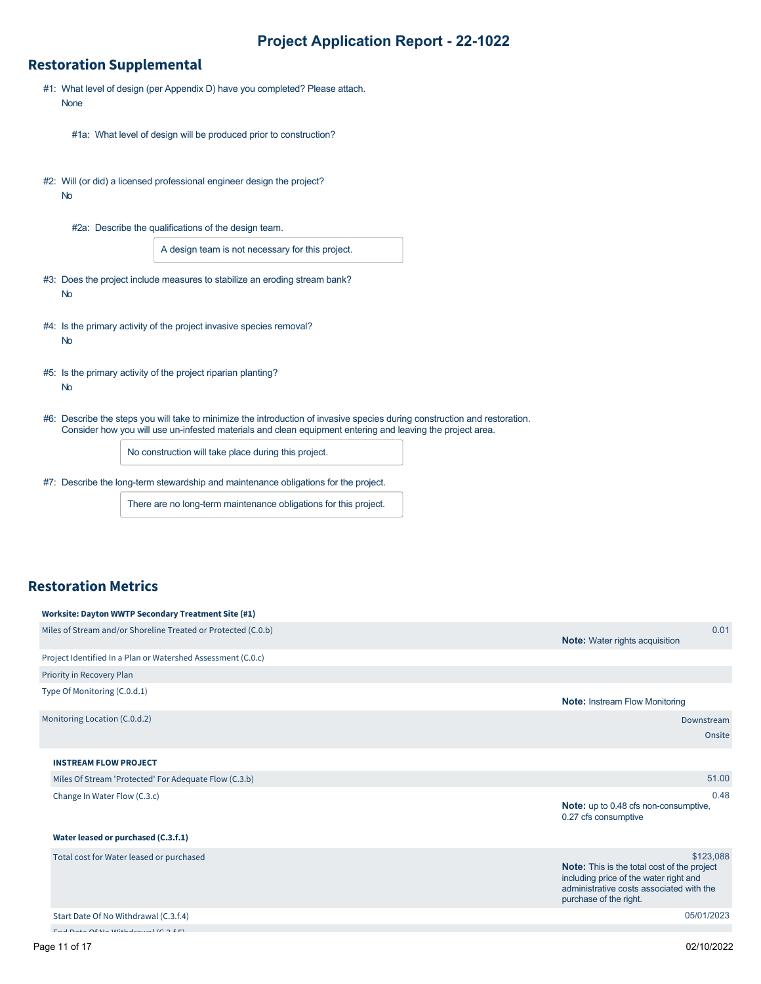#### **Restoration Supplemental**

- #1: What level of design (per Appendix D) have you completed? Please attach. None
	- #1a: What level of design will be produced prior to construction?
- #2: Will (or did) a licensed professional engineer design the project? No
	- #2a: Describe the qualifications of the design team.

A design team is not necessary for this project.

- #3: Does the project include measures to stabilize an eroding stream bank? No
- #4: Is the primary activity of the project invasive species removal? No
- #5: Is the primary activity of the project riparian planting? No
- #6: Describe the steps you will take to minimize the introduction of invasive species during construction and restoration. Consider how you will use un-infested materials and clean equipment entering and leaving the project area.

No construction will take place during this project.

#7: Describe the long-term stewardship and maintenance obligations for the project.

There are no long-term maintenance obligations for this project.

#### **Restoration Metrics**

| Worksite: Dayton WWTP Secondary Treatment Site (#1)           |                                                                                                                                                                                 |
|---------------------------------------------------------------|---------------------------------------------------------------------------------------------------------------------------------------------------------------------------------|
| Miles of Stream and/or Shoreline Treated or Protected (C.0.b) | 0.01<br><b>Note:</b> Water rights acquisition                                                                                                                                   |
| Project Identified In a Plan or Watershed Assessment (C.O.c)  |                                                                                                                                                                                 |
| Priority in Recovery Plan                                     |                                                                                                                                                                                 |
| Type Of Monitoring (C.0.d.1)                                  | <b>Note: Instream Flow Monitoring</b>                                                                                                                                           |
| Monitoring Location (C.0.d.2)                                 | Downstream<br>Onsite                                                                                                                                                            |
| <b>INSTREAM FLOW PROJECT</b>                                  |                                                                                                                                                                                 |
| Miles Of Stream 'Protected' For Adequate Flow (C.3.b)         | 51.00                                                                                                                                                                           |
| Change In Water Flow (C.3.c)                                  | 0.48<br><b>Note:</b> up to 0.48 cfs non-consumptive,<br>0.27 cfs consumptive                                                                                                    |
| Water leased or purchased (C.3.f.1)                           |                                                                                                                                                                                 |
| Total cost for Water leased or purchased                      | \$123,088<br><b>Note:</b> This is the total cost of the project<br>including price of the water right and<br>administrative costs associated with the<br>purchase of the right. |
| Start Date Of No Withdrawal (C.3.f.4)                         | 05/01/2023                                                                                                                                                                      |
| most received and sample document for a direct                |                                                                                                                                                                                 |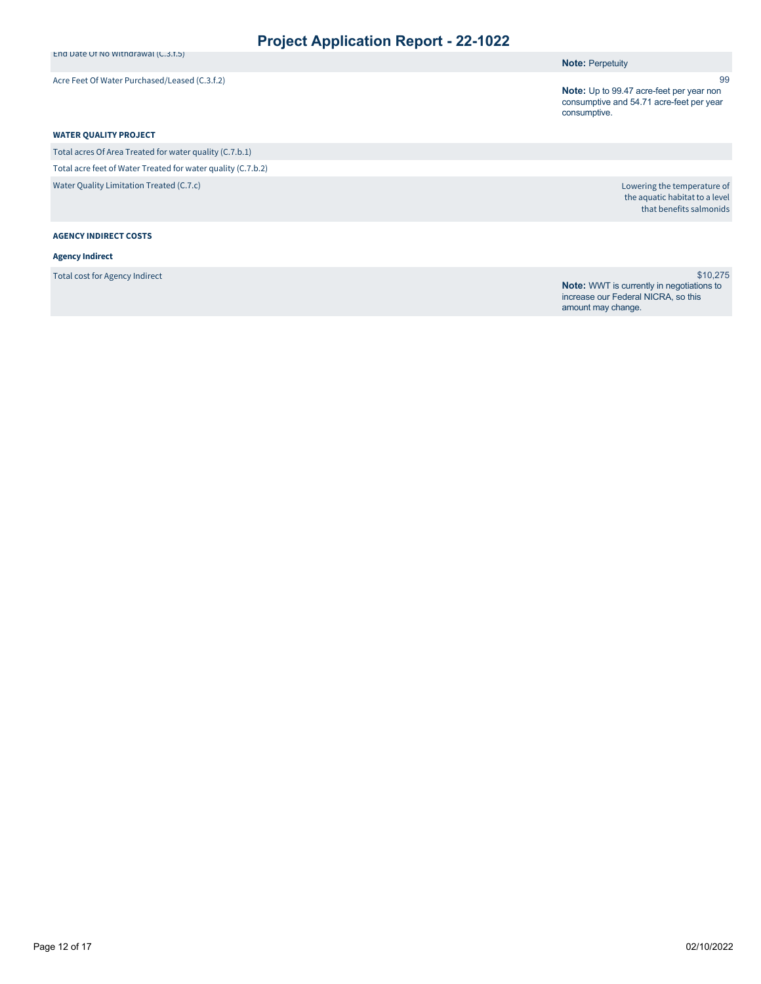End Date Of No Withdrawal (C.3.f.5)

Acre Feet Of Water Purchased/Leased (C.3.f.2)

**Note: Perpetuity** 

**Note:** Up to 99.47 acre-feet per year non consumptive and 54.71 acre-feet per year consumptive.

#### **WATER QUALITY PROJECT**

Total acres Of Area Treated for water quality (C.7.b.1) Total acre feet of Water Treated for water quality (C.7.b.2) Water Quality Limitation Treated (C.7.c)

**AGENCY INDIRECT COSTS**

#### **Agency Indirect**

Total cost for Agency Indirect

Lowering the temperature of the aquatic habitat to a level that benefits salmonids

99

\$10,275 **Note:** WWT is currently in negotiations to increase our Federal NICRA, so this amount may change.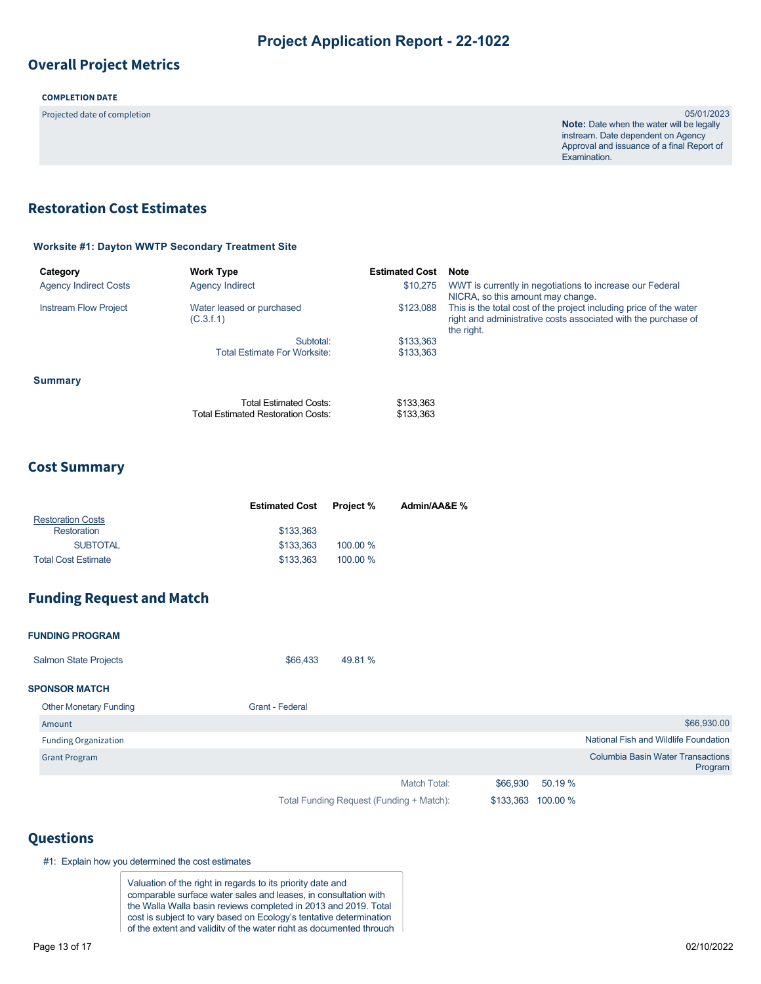## **Overall Project Metrics**

#### **COMPLETION DATE**

Projected date of completion 05/01/2023

**Note:** Date when the water will be legally instream. Date dependent on Agency Approval and issuance of a final Report of Examination.

## <span id="page-12-0"></span>**Restoration Cost Estimates**

#### **Worksite #1: Dayton WWTP Secondary Treatment Site**

| Category                     | <b>Work Type</b>                                                    | <b>Estimated Cost</b>  | Note                                                                                                                                               |
|------------------------------|---------------------------------------------------------------------|------------------------|----------------------------------------------------------------------------------------------------------------------------------------------------|
| <b>Agency Indirect Costs</b> | <b>Agency Indirect</b>                                              | \$10,275               | WWT is currently in negotiations to increase our Federal<br>NICRA, so this amount may change.                                                      |
| <b>Instream Flow Project</b> | Water leased or purchased<br>(C.3.f.1)                              | \$123,088              | This is the total cost of the project including price of the water<br>right and administrative costs associated with the purchase of<br>the right. |
|                              | Subtotal:                                                           | \$133,363              |                                                                                                                                                    |
|                              | <b>Total Estimate For Worksite:</b>                                 | \$133.363              |                                                                                                                                                    |
| <b>Summary</b>               |                                                                     |                        |                                                                                                                                                    |
|                              | Total Estimated Costs:<br><b>Total Estimated Restoration Costs:</b> | \$133,363<br>\$133,363 |                                                                                                                                                    |

#### **Cost Summary**

|                            | <b>Estimated Cost</b> | <b>Project</b> % | Admin/AA&E % |
|----------------------------|-----------------------|------------------|--------------|
| <b>Restoration Costs</b>   |                       |                  |              |
| Restoration                | \$133,363             |                  |              |
| <b>SUBTOTAL</b>            | \$133,363             | 100.00 %         |              |
| <b>Total Cost Estimate</b> | \$133,363             | $100.00\%$       |              |

## **Funding Request and Match**

| <b>FUNDING PROGRAM</b>        |                        |                                          |           |          |                                                     |
|-------------------------------|------------------------|------------------------------------------|-----------|----------|-----------------------------------------------------|
| <b>Salmon State Projects</b>  | \$66,433               | 49.81 %                                  |           |          |                                                     |
| <b>SPONSOR MATCH</b>          |                        |                                          |           |          |                                                     |
| <b>Other Monetary Funding</b> | <b>Grant - Federal</b> |                                          |           |          |                                                     |
| Amount                        |                        |                                          |           |          | \$66,930.00                                         |
| <b>Funding Organization</b>   |                        |                                          |           |          | National Fish and Wildlife Foundation               |
| <b>Grant Program</b>          |                        |                                          |           |          | <b>Columbia Basin Water Transactions</b><br>Program |
|                               |                        | Match Total:                             | \$66,930  | 50.19 %  |                                                     |
|                               |                        | Total Funding Request (Funding + Match): | \$133,363 | 100.00 % |                                                     |

## **Questions**

#1: Explain how you determined the cost estimates

Valuation of the right in regards to its priority date and comparable surface water sales and leases, in consultation with the Walla Walla basin reviews completed in 2013 and 2019. Total cost is subject to vary based on Ecology's tentative determination of the extent and validity of the water right as documented through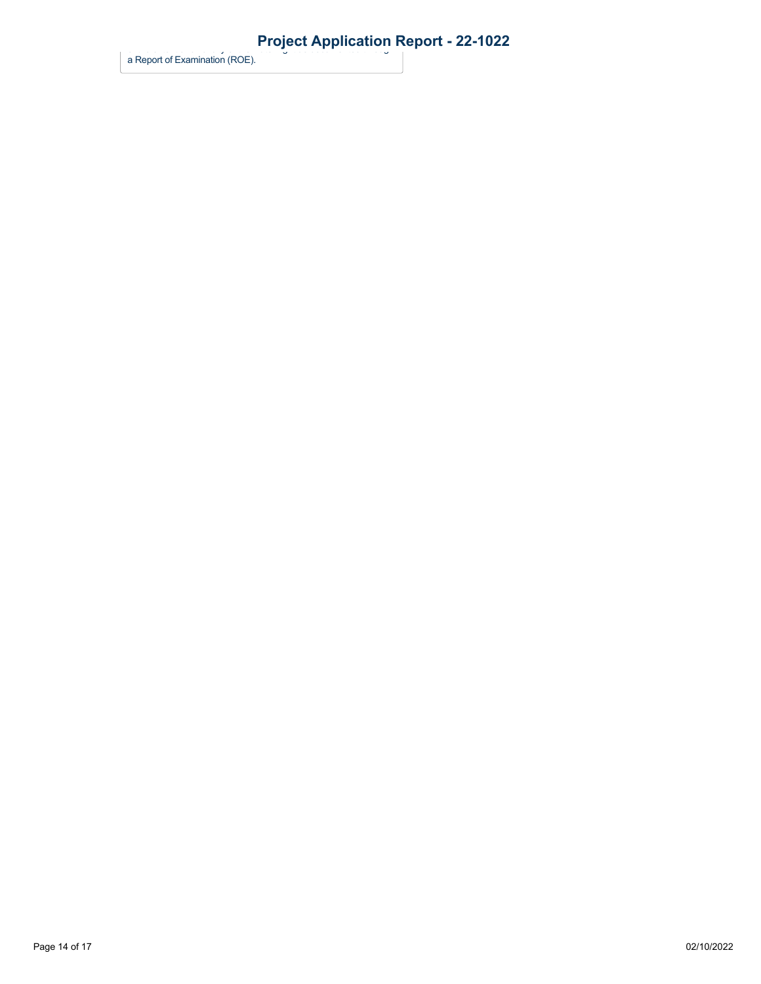a Report of Examination (ROE).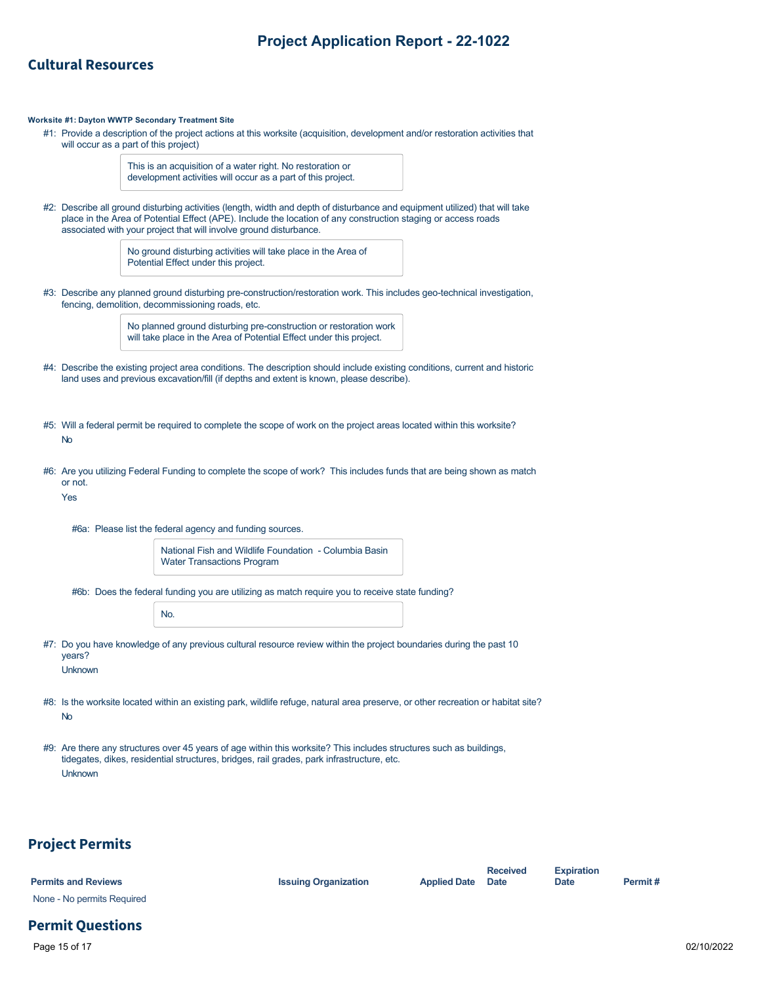### **Cultural Resources**

#### **Worksite #1: Dayton WWTP Secondary Treatment Site**

#1: Provide a description of the project actions at this worksite (acquisition, development and/or restoration activities that will occur as a part of this project)

> This is an acquisition of a water right. No restoration or development activities will occur as a part of this project.

#2: Describe all ground disturbing activities (length, width and depth of disturbance and equipment utilized) that will take place in the Area of Potential Effect (APE). Include the location of any construction staging or access roads associated with your project that will involve ground disturbance.

> No ground disturbing activities will take place in the Area of Potential Effect under this project.

#3: Describe any planned ground disturbing pre-construction/restoration work. This includes geo-technical investigation, fencing, demolition, decommissioning roads, etc.

> No planned ground disturbing pre-construction or restoration work will take place in the Area of Potential Effect under this project.

- #4: Describe the existing project area conditions. The description should include existing conditions, current and historic land uses and previous excavation/fill (if depths and extent is known, please describe).
- #5: Will a federal permit be required to complete the scope of work on the project areas located within this worksite? No
- #6: Are you utilizing Federal Funding to complete the scope of work? This includes funds that are being shown as match or not.

Yes

#6a: Please list the federal agency and funding sources.

| National Fish and Wildlife Foundation - Columbia Basin |  |
|--------------------------------------------------------|--|
| <b>Water Transactions Program</b>                      |  |

#6b: Does the federal funding you are utilizing as match require you to receive state funding?

| ×<br>ł |  |
|--------|--|
|--------|--|

- #7: Do you have knowledge of any previous cultural resource review within the project boundaries during the past 10 years? Unknown
- #8: Is the worksite located within an existing park, wildlife refuge, natural area preserve, or other recreation or habitat site? No
- #9: Are there any structures over 45 years of age within this worksite? This includes structures such as buildings, tidegates, dikes, residential structures, bridges, rail grades, park infrastructure, etc. Unknown

#### **Project Permits**

| <b>Permits and Reviews</b> | <b>Issuing Organization</b> | <b>Applied Date</b> Date | <b>Received</b> | <b>Expiration</b><br><b>Date</b> | Permit# |
|----------------------------|-----------------------------|--------------------------|-----------------|----------------------------------|---------|
| None - No permits Required |                             |                          |                 |                                  |         |

## **Permit Questions**

Page 15 of 17 02/10/2022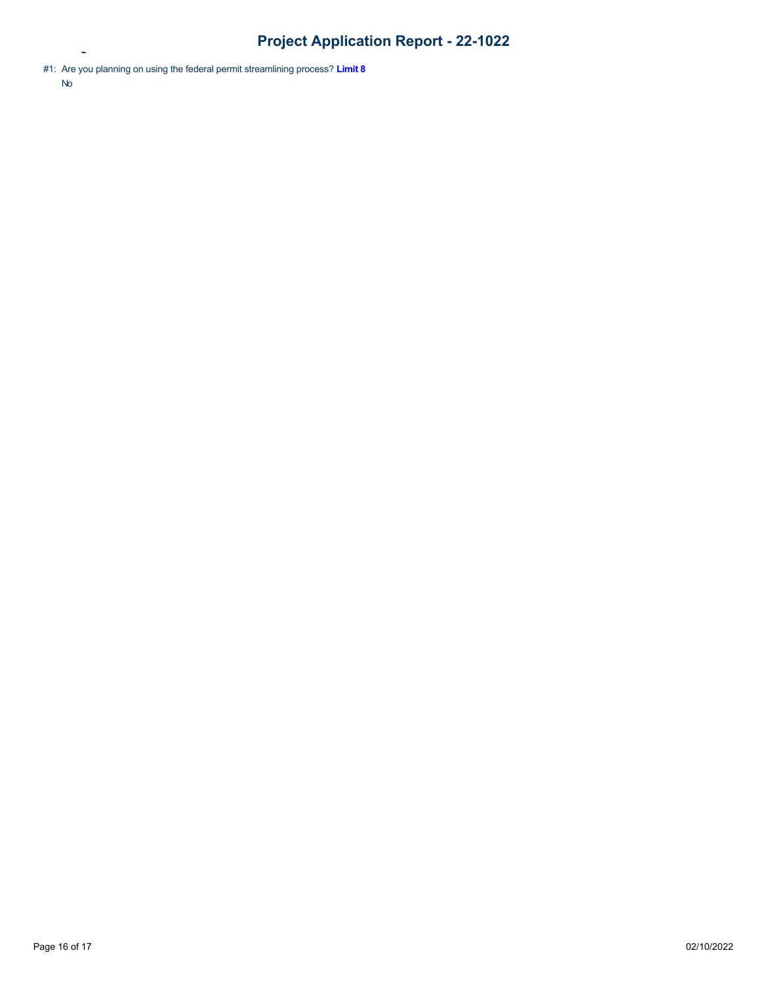No

**Permit Questions**

<sup>#1:</sup> Are you planning on using the federal permit streamlining process? **[Limit 8](https://rco.wa.gov/wp-content/uploads/2019/10/SAL-PermitStreamFactSheet.pdf)**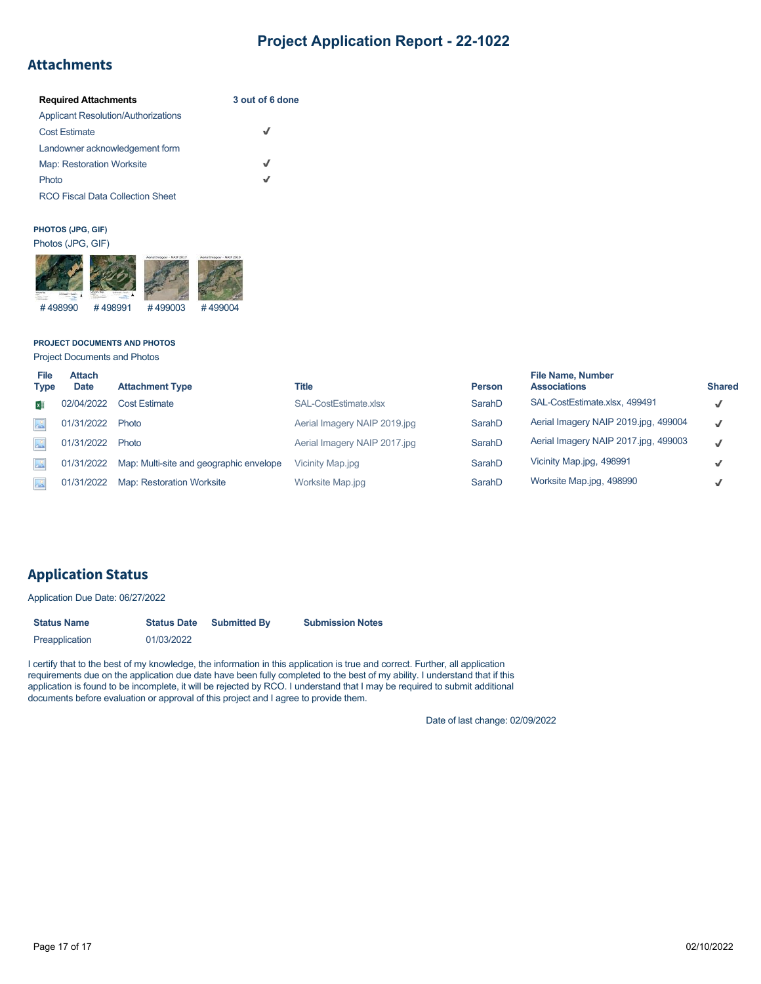## **Attachments**

| <b>Required Attachments</b>                | 3 out of 6 done |
|--------------------------------------------|-----------------|
| <b>Applicant Resolution/Authorizations</b> |                 |
| <b>Cost Estimate</b>                       | √               |
| Landowner acknowledgement form             |                 |
| <b>Map: Restoration Worksite</b>           | J               |
| Photo                                      | J               |
| <b>RCO Fiscal Data Collection Sheet</b>    |                 |

#### **PHOTOS (JPG, GIF)**



#### **PROJECT DOCUMENTS AND PHOTOS**

Project Documents and Photos

| File<br><b>Type</b> | <b>Attach</b><br><b>Date</b> | <b>Attachment Type</b>                  | <b>Title</b>                 | <b>Person</b> | <b>File Name, Number</b><br><b>Associations</b> | <b>Shared</b> |
|---------------------|------------------------------|-----------------------------------------|------------------------------|---------------|-------------------------------------------------|---------------|
| x ∏                 | 02/04/2022                   | <b>Cost Estimate</b>                    | SAL-CostEstimate.xlsx        | SarahD        | SAL-CostEstimate.xlsx, 499491                   | $\checkmark$  |
| $\Delta^0$          | 01/31/2022                   | Photo                                   | Aerial Imagery NAIP 2019.jpg | SarahD        | Aerial Imagery NAIP 2019.jpg, 499004            | $\checkmark$  |
| $\sim$              | 01/31/2022                   | Photo                                   | Aerial Imagery NAIP 2017.jpg | SarahD        | Aerial Imagery NAIP 2017.jpg, 499003            | ✓             |
| $\frac{1}{2}$       | 01/31/2022                   | Map: Multi-site and geographic envelope | Vicinity Map.jpg             | SarahD        | Vicinity Map.jpg, 498991                        | √             |
| $\triangle^{\circ}$ | 01/31/2022                   | <b>Map: Restoration Worksite</b>        | Worksite Map.jpg             | SarahD        | Worksite Map.jpg, 498990                        | ✓             |

## **Application Status**

Application Due Date: 06/27/2022

| <b>Status Name</b> | <b>Status Date</b> | <b>Submitted By</b> | <b>Submission Notes</b> |  |  |
|--------------------|--------------------|---------------------|-------------------------|--|--|
| Preapplication     | 01/03/2022         |                     |                         |  |  |

I certify that to the best of my knowledge, the information in this application is true and correct. Further, all application requirements due on the application due date have been fully completed to the best of my ability. I understand that if this application is found to be incomplete, it will be rejected by RCO. I understand that I may be required to submit additional documents before evaluation or approval of this project and I agree to provide them.

Date of last change: 02/09/2022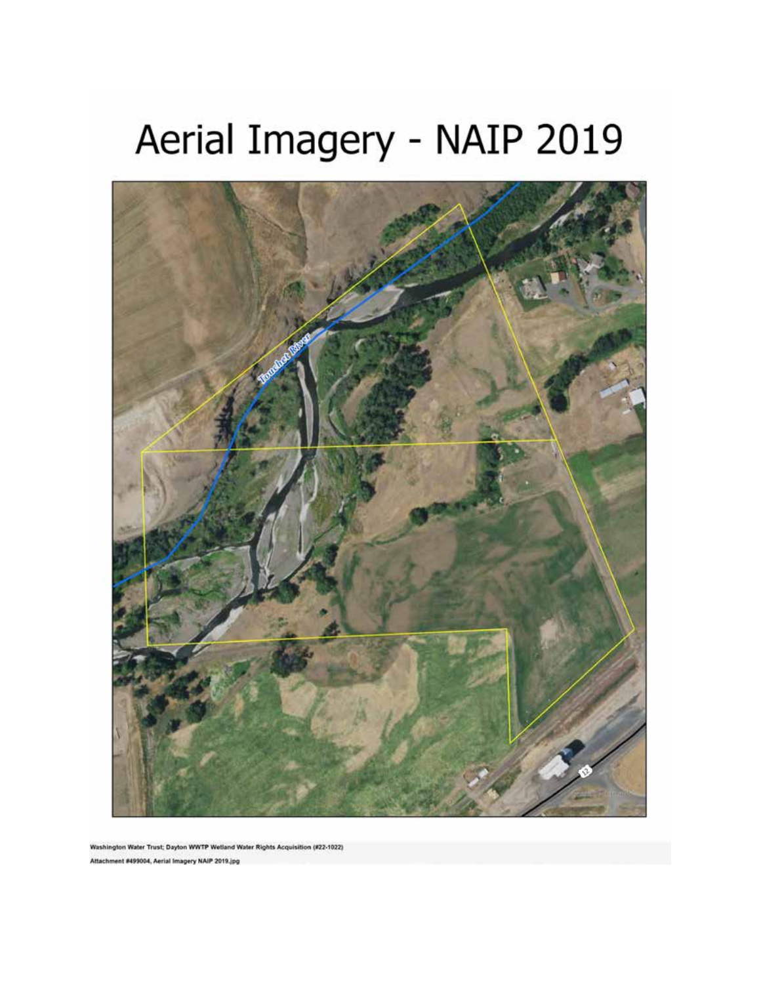# Aerial Imagery - NAIP 2019



Washington Water Trust; Dayton WWTP Wetland Water Rights Acquisition (#22-1022) Attachment #499004, Aerial Imagery NAIP 2019.jpg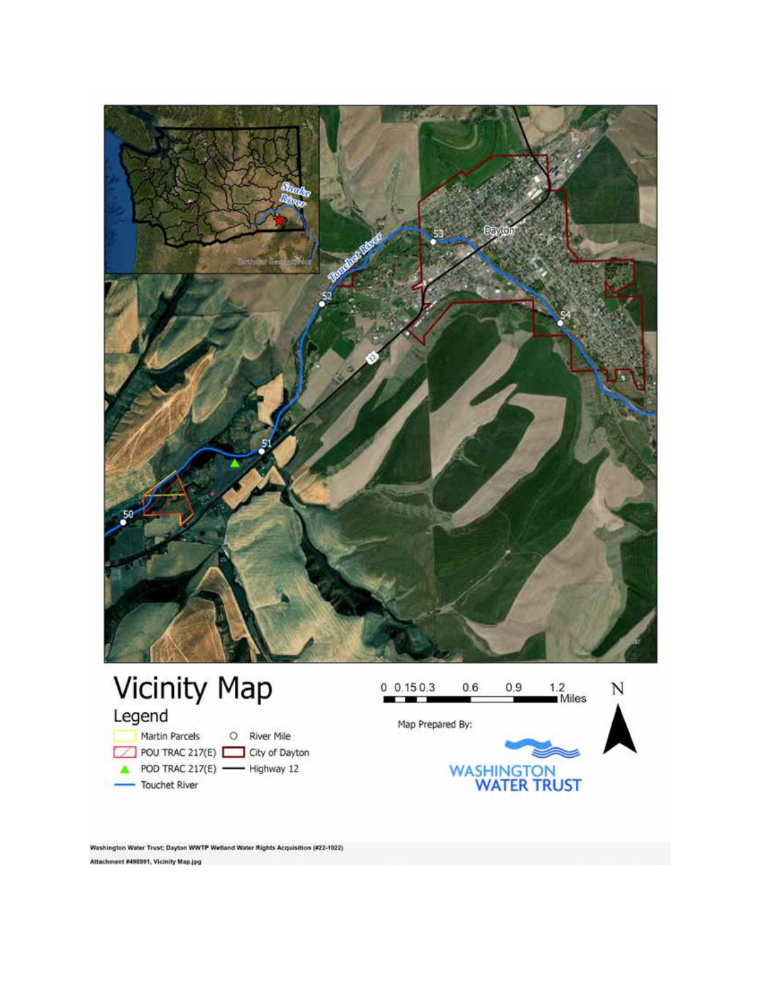

Washington Water Trust; Dayton WWTP Wetland Water Rights Acquisition (#22-1022) Attachment #498991, Vicinity Map.jpg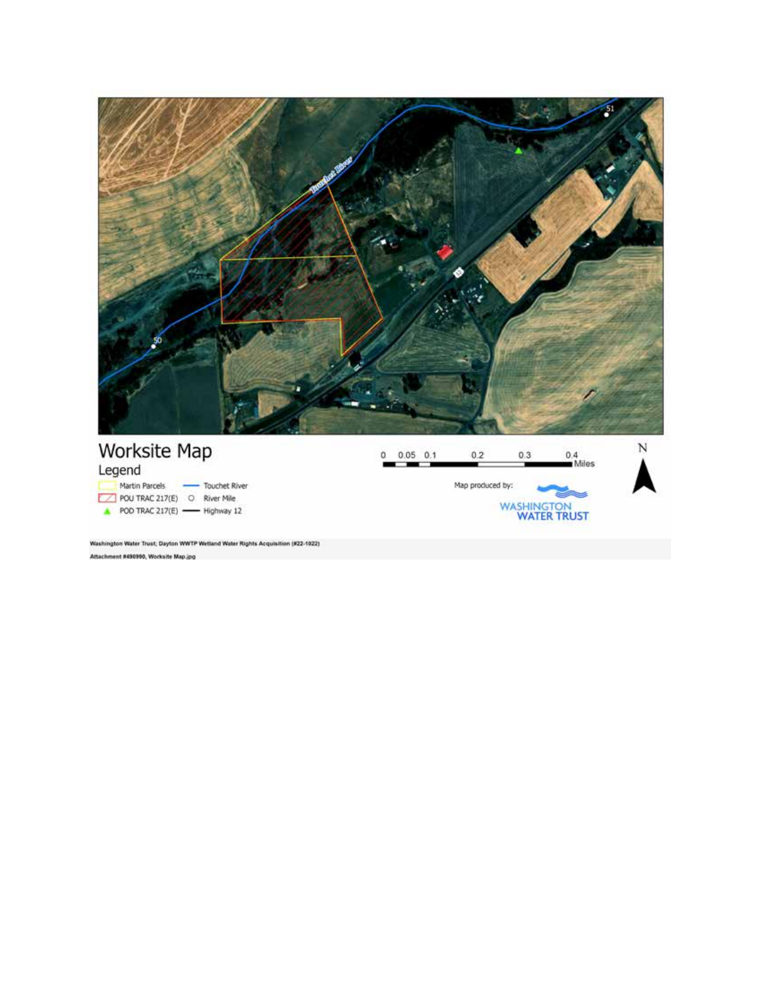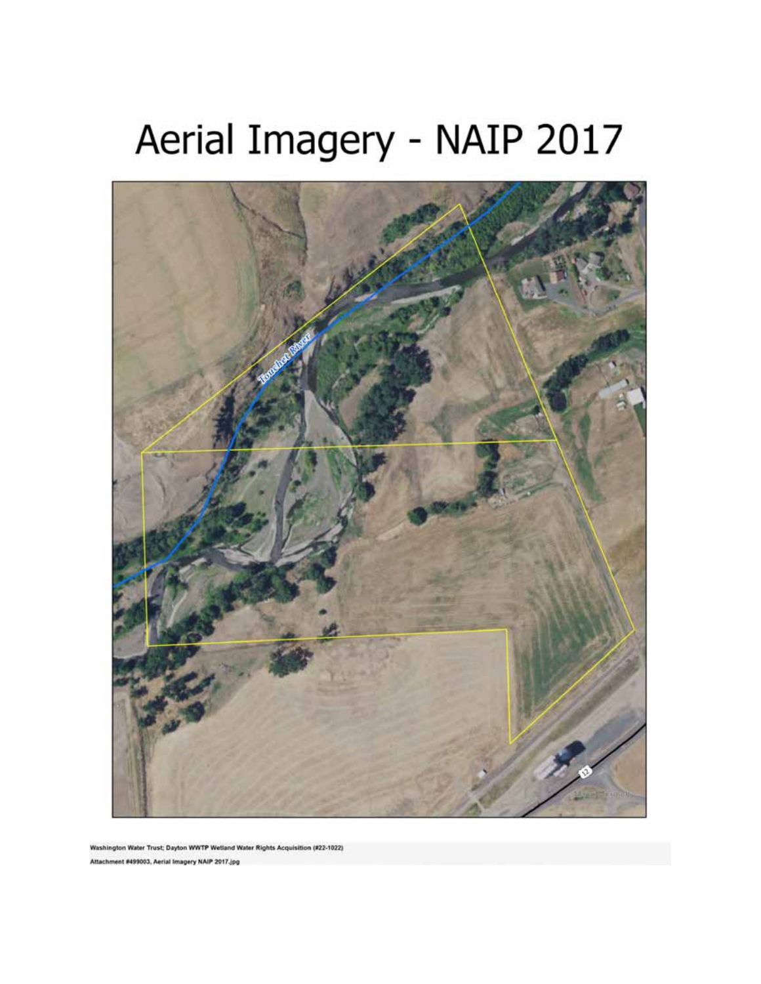# Aerial Imagery - NAIP 2017



Washington Water Trust; Dayton WWTP Wetland Water Rights Acquisition (#22-1022) Attachment #499003, Aerial Imagery NAIP 2017.jpg